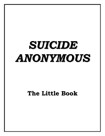# *SUICIDE ANONYMOUS*

# **The Little Book**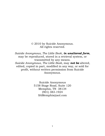© 2010 by Suicide Anonymous. All rights reserved.

*Suicide Anonymous, The Little Book*, *in unaltered form*, may be reproduced, stored in a retrieval system, or transmitted by any means. *Suicide Anonymous, The Little Book,* may *not be* altered, edited, copied in part, modified in any way, or sold for profit, without written permission from Suicide Anonymous.

> Suicide Anonymous 5158 Stage Road, Suite 120 Memphis, TN 38134 (901) 383-1924 SAMemphis@aol.com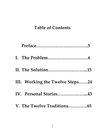## **Table of Contents**

| II. The Solution15              |  |
|---------------------------------|--|
| III. Working the Twelve Steps24 |  |
| IV. Personal Stories43          |  |
| V. The Twelve Traditions65      |  |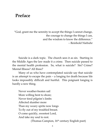## **Preface**

'God, grant me the serenity to accept the things I cannot change, the courage to change the things I can, and the wisdom to know the difference.' – Reinhold Niebuhr

Suicide is a dark topic. The church sees it as sin. Starting in the Middle Ages the law made it a crime. Then suicide passed to the mental health profession. So, what is suicide? Sin? Crime? Mental Illness? All three?

Many of us who have contemplated suicide say that suicide is an attempt to escape the pain – a longing for death because life looks impossibly difficult and hurtful. This poignant longing is hardly a new thing.

Never weather-beaten sail More willing bent to shore; Never tired pilgrim's limbs Affected slumber more Than my weary sprite now longs To fly out of my troubled breast. O come quickly, sweetest Lord, And take my soul to rest.

(Thomas Campion,  $16<sup>th</sup>$  century English poet)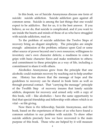In this book, we of Suicide Anonymous discuss one form of suicide: suicide addiction. Suicide addiction goes against all common sense. Suicide is among the last things that one would expect to be addictive. But for us, it is the best answer. If you believe, as we do, that suicide is complicated, and if you want to see inside the hearts and minds of those of us who have struggled with suicide addiction, read on.

To the problem of suicide addiction the Twelve Steps of recovery bring an elegant simplicity. The principles are simple enough: admission of the problem; reliance upon God or some other source of power beyond one's own resources; willingness to inventory one's own character defects; a readiness to come to grips with basic character flaws and make restitution to others; and commitment to these principles as a way of life, including a commitment to share it with others.

Alcoholics Anonymous grew from the principle that one alcoholic could maintain recovery by reaching out to help another one. History has shown that the message of hope and the guidelines to recovery can be shared in book form as well as through personal contact. That 'carrying the message' principle of the Twelfth Step of recovery insures that lonely suicide addicts, desperate for recovery and armed only with a copy of this book, will – like alcoholics – have the same opportunity to find that special friendship and fellowship with others which is so vital – so life giving.

Now there is *this* fellowship, Suicide Anonymous, and *this*  book, based on the experiences of those of us who have found a common solution to our problem with suicide. To show other suicide addicts precisely how we have recovered is the main purpose of this book. Those who are helped by it will measure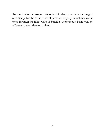the merit of our message. We offer it in deep gratitude for the gift of *recovery,* for the experience of personal dignity, which has come to us through the fellowship of Suicide Anonymous, bestowed by a Power greater than ourselves.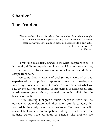## **Chapter 1 The Problem**

'There are also others ... for whom the mere idea of suicide is enough; they ... function efficiently provided they have their own ... means of escape always ready: a hidden cache of sleeping pills, a gun at the back of the drawer ...". A. Alvarez<sup>1</sup>

For us suicide addicts, suicide is *not* what it appears to be. It is a totally different experience. For us, suicide became the drug we used to cope, a fix as powerful as crack to cocaine addicts, an escape from pain.

We came from a variety of backgrounds. Most of us had experienced a crippling depression. We felt inadequate, unworthy, alone and afraid. Our insides never matched what we saw on the outsides of others. As our feelings of helplessness and worthlessness grew, dying seemed our only relief. Suicide became our option.

At first fleeting, thoughts of suicide began to grow until, as our mental state deteriorated, they filled our days. Some felt trapped by intensely painful circumstances. We tuned out with suicidal fantasy and preoccupation. Many of us became true addicts. Others were survivors of suicide. The problem we

 $\overline{a}$ 1 A. Alvarez, *The Savage God* (New York: Norton, 1971), 154.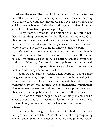faced was the same. The pursuit of the perfect suicide, the trancelike effect induced by ruminating about death became the drug we used to cope with our unbearable pain. We lost the sense that suicide was taboo or forbidden and began to view it as an acceptable alternative, a personal privilege.

Many times we came to the brink of action, retreating with hearts pounding, exhilarated by the illusion that we were Godlike in the power we held over our own lives. Some of us retreated from that decision, hoping it was not our sole choice, only to tire and decide we could no longer endure the pain.

Many of us made an attempt or attempts to end our life, only to awaken sickened by the realization that our best efforts had failed. This increased our guilt, self-hatred, remorse, emptiness, and pain. Morning after promises to stop these fantasies of death were made to our desperate families and friends. But suicidal fantasies killed any chance for true life.

Soon the seduction of suicide again overtook us and before long we were caught up in the fantasy of death, believing this would give us the eternal peace we craved. Instead we were victimized by internal turmoil and overwhelming humiliation. Alone we were powerless and our most sincere promises to stop this deadly preoccupation had become fantasies themselves.

Our stories describe the progression of this problem. For us, suicide is our drug, as powerful as alcohol, or sex – always there, a secret lover, *the* way out when we have no other way out.

## **Onset**

Our suicidal thoughts often started in childhood or early teen years, sometimes later. Most of us remember a precipitating event, usually painful. Whatever it was, we thought to ourselves,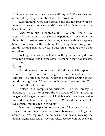'If it gets bad enough, I can always kill myself.' For us, this was a comforting thought, but the start of the problem.

Such thoughts were not harmless and did not pass with the moment. Instead, they were a "fix". We tucked them away in the back of our minds.

What made such thoughts a fix? We don't know. We assumed that others had similar experiences. We kept the thoughts to ourselves—often in shame, since suicide is a disgrace. Some of us played with the thoughts, running them through our minds, tucking them away for a later time, hugging them all to ourselves.

Looking back, we knew that something in us changed. We were not finished with the thoughts. Somehow they had become part of us.

#### **Fantasy**

Next time we encountered a painful situation, felt trapped or scared, we pulled out our thoughts of suicide and felt their comfort. This time, however, we ran the thoughts around in our minds, tasting them. We started to fantasize about suicide. That felt even better – less pain.

Fantasy is a complicated business. For us, fantasy is dangerous – a way to escape the challenges of life. Spending longer and longer periods in suicidal fantasies, we were lost – trapped in fantasy, avoiding our lives. We used the fantasies to evade pain – not to cope with reality.

Over time we expanded our fantasies. We fantasized about ways of killing ourselves – overdoses, hangings, shootings, car accidents. We replayed the scenes in our heads, varying the details, trying new ways. We controlled everyone in the scene, in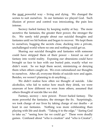the <u>most</u> powerful way – living and dying. We changed the scenes to suit ourselves. In our fantasies we played God. Such illusion of power and control was intoxicating, the pain less intense.

Secrecy fueled fantasy by keeping reality at bay. The more secretive the fantasies, the greater their power, the stronger the fix. We rarely told people about our suicidal thoughts and fantasies until we hit bottom and began to recover. We kept them to ourselves, hugging the secrets close, ducking into a private, unchallenged world where no one and nothing could get us.

Sharing our suicidal thoughts and fantasies with someone could have stripped them of their power – forced us out of fantasy into world reality. Exposing our obsessions could have brought us face to face with our buried pain, exactly what we didn't want. So we kept them secret, minimizing or denying them when others caught on. We even rationalized our thoughts to ourselves. After all, everyone thinks of suicide now and again. Besides, we weren't planning to *do* anything<..

We didn't realize how often we thought of suicide. Like alcoholics, who fail to notice how much they drink, we were unaware of how different we were from others, assumed that others thought of suicide like we did.

Fantasy, secrecy – now power. Power fueled fantasy. The more powerful the fantasies, the stronger the fix. Surprisingly, we took charge of our lives by taking charge of our deaths – at least in our fantasies. Nothing was more exhilarating than playing with life and death. "Taking it to the edge," "daring God to take us," "seeing how far we could go." These were deadly games. Confused about 'who is creation' and 'who is Creator',

9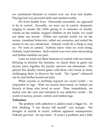we maintained illusions of control over our lives and deaths. Playing God was powerful stuff, and numbed reality.

We lived double lives. Outwardly successful, we appeared to be in control. Inwardly, we were out of control, desperate, longing to master life while giving in to fantasies of suicide. Adults on the outside, trapped children on the inside, we could not share our secrets. Within our suicidal world, we set the scenes, visualized behaviors, rolled out scenarios, and ended the stories to our *own* satisfaction. Nobody could do a thing to stop us. *We* were in control. Nobody knew what we were doing. Nobody could interfere. Such control was even more intoxicating and further numbed our pain.

Later we acted out these fantasies of control with our family. Refusing to disclose the fantasies, we dared them to guess our secrets, piece together the puzzle, uncover our obsessions. We played this deadly control game with those who loved us most, challenging them to discover the truth. The 'game' enhanced our fix and further buried our pain.

When anyone or anything exposed our secret world – we responded in rage. With our secrets discovered, we lashed out fiercely at those who loved us most. Then, immediately, we sealed over the vent and retreated to our addictive world – the world of secrecy, power, control, and hidden rage.

## **Tolerance**

The problem with addiction is addicts need a bigger fix. At first, thinking 'I can always kill myself' was enough. We thought of suicide in secret, without apparent consequences. Nobody got hurt. No one knew. It wasn't a problem, just a little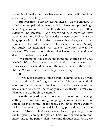something to make life's problems easier to bear. With that little something, we could go on.

But over time 'I can always kill myself' wasn't enough. It failed to numb painful moments, failed to lessen trapped feelings, failed to give us our fix. So we thought about suicide more often, extended the fantasies. We discovered new scenarios, new possibilities. We looked for suicides in newspapers, novels or biographies, in family histories. Increasingly curious, we studied people who had killed themselves to discover methods. Slowly but surely, we identified with suicide, convinced it was the answer. We were curious about what lies on the other side of death – even death by suicide.

Risk-taking got the adrenaline pumping, created the fix we needed. We explored new ways of suicide – painless ways, fast ways, clean ways, hidden ways. The scarier the way, the greater the fix. We were moving into dangerous territory.

## **Ritual**

It was just a matter of time before tolerance drove us from fantasy to ritual, from thought to behavior. It is one thing to think about suicide. It is another to plan it. Now, there was no turning back. Our rituals were limited only by our creativity. Secretly we planned our deaths oh-so-carefully.

Rituals centered around how to kill ourselves: hanging, cutting, shooting, overdosing, jumping, faking an accident. We spread all possibilities on the table, considered them carefully, picked each one up, examined it closely, put it down – for the moment. Obsessive fantasies became obsessive planning. Like cat burglars planning the perfect heist, we devoted more and more time to the perfect plan. Working through each detail, we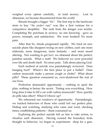weighed every option carefully, in total secrecy. Lost in obsession, we became disconnected from the world.

Rituals brought a bigger 'fix'. The first trip to the hardware store to buy '*the perfect rope*' was like a first venture for a compulsive shoplifter. The rush from the danger was terrific. Completing the purchase in secrecy, no one knowing - gave us power, triumph, and satisfaction. We were hooked! No more pain.

After that fix, rituals progressed rapidly. We tried on new suicide plans like shoppers trying on new clothes, each one more elaborate, more dangerous, more fantastic – and more mood altering. Not wanting to get *hurt*, we obsessed about the perfect, painless suicide. What a rush! We believed we were powerful over life and death itself. No more pain. Talk about playing God.

Each method of suicide was painstakingly reviewed. Does hanging hurt? Where's the best place to put a bullet? Does carbon monoxide make a person cough or choke? What about pills? These question consumed us, over-shadowed the rest of our lives.

Perfection demanded opportunity – nothing to spoil the plan, nothing to betray the secret. Timing was everything. How long does it take to fill a car with carbon monoxide? How quickly do pills take effect? What if I throw up?

We rehearsed our windows of opportunity. Painstakingly, we tracked behaviors of those who could foil our perfect plan. Hiding and watching, studying who came and went, checking times, establishing patterns – these consumed us.

Exploring the perfect suicide left us free to take action, to ritualize each obsession. Having crossed the boundary from thought to behavior, we began to experiment: shop for a gun,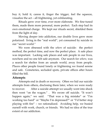buy it, hold it, caress it, finger the trigger, feel the squeeze, visualize the act – all frightening, yet exhilarating.

Rituals grew over time, ever more elaborate. We fine-tuned them, made them more personal, more perfect. Each step had its own emotional charge. We kept our rituals secret, shielded them from the light of day.

Moving deeper into addiction, our double lives grew more polarized: living in the 'real world', yet consumed by suicide in our 'secret world.'

We were obsessed with the *where* of suicide: the perfect method, the perfect time, and now the perfect place. A safe place was important. Lacking safe places and safe people in our lives, nowhere and no one felt safe anymore. Our search for *where*, was a search for shelter from an unsafe world, away from people. Places other people found lonely or frightening we found serene and safe. Cemeteries, secluded spots, private offices after hours filled the bill.

## **Attempts**

Attempts end in death or recovery. Often we hid our suicide attempts from others, disclosing them later, when we were ready to recover. After a suicide attempt we usually went into shock then went 'on the wagon.' . We swore off suicide. 'It won't happen again," we said. "That was a big mistake" or "I'm working too hard' or 'Maybe I'm depressed?' or 'I'd better stop playing with fire' – we rationalized. Avoiding help, we busied ourself with work, church, or friends. We had no idea of the true extent of our addiction.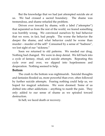But the knowledge that we had just attempted suicide ate at us. We had crossed a sacred boundary. The shame was tremendous, and shame refueled the problem.

Driven ever inward by shame, with a label ("attempter") that separated us from the rest of the world, we feared something was horribly wrong. We convinced ourselves by bad behavior that we were, in fact, bad people. The worse the behavior the deeper the shame, and what behavior could be worse than murder – murder of the self? Consumed by a sense of "badness", we lost sight of our "sickness."

Soon we returned to old patterns. We needed our drug. Nothing had changed. We were in deep denial. We fell back into a cycle of fantasy, ritual, and suicide attempts. Repeating this cycle over and over, we slipped into hopelessness and desperation. Nothing seemed to help.

## **Bottom**

The crash to the bottom was nightmarish. Suicidal thoughts and fantasies flooded us, more powerful than ever, often followed by further suicide attempts. Fearing nothing could help us, we hoped for magical solutions. We were doomed. Some of us drifted into other addictions – anything to numb the pain. They only added to our sense of shame as we spiraled toward destruction.

In hell, we faced death or recovery.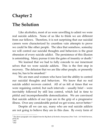## **Chapter 2**

## **The Solution**

Like alcoholics, most of us were unwilling to admit we were real suicide addicts. None of us like to think we are different from our fellows. Therefore, it is not surprising that our suicidal careers were characterized by countless vain attempts to prove we could be like other people. The idea that somehow, someday we will control our suicidal thoughts and behaviors is the great obsession of every suicide addict. The persistence of this illusion is astonishing. Many pursue it into the gates of insanity or death. 2

We learned that we had to fully concede to our innermost selves that we were suicide addicts. This is the first step in recovery. The delusion that we are like other people, or presently may be, has to be smashed.<sup>3</sup>

We are men and women who have lost the ability to control our suicidal thoughts and behaviors. We know that no real suicide addict recovers control. All of us felt at times that we were regaining control, but such intervals – usually brief – were inevitably followed by still less control, which led in time to pitiful and incomprehensible demoralization. We are convinced that suicide addicts of our type are in the grip of a progressive illness. Over any considerable period we get worse, never better.<sup>4</sup>

Despite all we can say, many who are real suicide addicts are not going to believe they are in this class. By every form of

 $\overline{a}$ <sup>2</sup> The above paragraphs were adapted from the *Big Book of Alcoholics Anonymous* (New York: AA World Services, 1976) 30.

<sup>3</sup> *Ibid*

<sup>4</sup> *Ibid*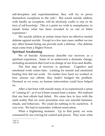self-deception and experimentation, they will try to prove themselves exceptions to the rule.<sup>5</sup> But actual suicide addicts, with hardly an exception, will be *absolutely unable to stop on the basis of self-knowledge*. This is a point we wish to reemphasize, to smash home what has been revealed to us out of bitter experience.<sup>6</sup>

We suicide addicts at certain times have no effective mental defense against suicide. Except in a few rare cases, neither we nor any other human being can provide such a defense. Our defense must come from a Higher Power.

## **Spiritual Awakening**

We of Suicide Anonymous describe our recovery as a spiritual experience. Some of us underwent a dramatic change, including awareness that God is in charge of our lives and deaths.

The first step of recovery is spiritual. Cognitive and emotional work comes later. Looking for mental and emotional healing first did not work. No matter how hard we worked or how sincere our efforts, they hadn't budged the problem. Doomed as we were, no human intervention could have helped us.

After a last bout with suicide many of us experienced a sense of 'coming to', as if we'd been roused form a trance. We realized that our best efforts had failed. We came face to face with the stark reality that we were powerless over our suicidal fantasies, rituals, and behaviors. We could do nothing to fix ourselves. It was over. We had to surrender, without reservation.

What a frightening moment. Up to that point, we were consumed by our craving for control and power. They were what

 5 *Ibid*, 31

<sup>6</sup> *Ibid,* 39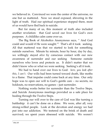we believed in. Convinced we were the center of the universe, no one but us mattered. Now we stood exposed, shivering in the light of truth. Had our spiritual experience stopped there, most of us would have fled back to suicide.

But for many of us, this moment of truth also included another revelation: that God saved our lives for God's own purposes. A childlike calm came over us.

The Big Book of Alcoholics Anonymous says, ' And God could and would if He were sought.'<sup>7</sup> That's all it took: seeking. All that mattered was that we started to look for something outside ourselves. Minute by minute, hour by hour, day by day, we willingly stayed *alive* by conscious contact with our new awareness of surrender and our seeking Someone outside ourselves who loves and protects us. It didn't matter that we didn't know who or what we were seeking. Seeking's all it took.

We had to hand over our lives to God: *here, you look after this, I can't*. Our wills had been turned toward death, like moths to a flame. That impulse could come back at any time. Our only hope was to open our will to God's gentle care – no secrets, no holdouts, no reservations, no games – just surrender.

Nothing works better for surrender than the Twelve Steps, and Suicide Anonymous meetings provided us a safe place for healing through the Twelve Steps.

Turning our will over to the care of God was like turning a battleship: it can't be done on a dime. We were, after all, very strong-willed people. Look at the devotion and energy we had put into our addiction. We teetered on the brink of death and survived; we spent years obsessed with suicide. We weren't

 $\overline{a}$ 7 *Ibid, 60*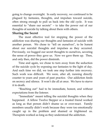going to change overnight. In early recovery, we continued to be plagued by fantasies, thoughts, and impulses toward suicide, often strong enough to pull us back into the old cycle. It was essential to 'share our secrets' – to take the power out of our thoughts of suicide by talking about them with others.

## **Sharing the Secret**

The most effective tool for stopping the power of the addiction was sharing our thoughts and fantasies of suicide with another person. We chose to 'tell on ourselves', to be honest about our suicidal thoughts and impulses as they occurred. Previously, we hugged our secret thoughts to ourselves, savoring the sense of power they gave us. Now we gave them up. Then, and only then, did the power diminish.

Time and again, we chose to turn away from the seduction of the suicide cycle by exposing our fantasies to the light of day. And each time we did, we took one step further into recovery. Such work was difficult. We were, after all, running directly counter to years and years of past practice. Our addiction feeds on secrecy and silence. It won't die all at once. We have to starve it to death.

'Reaching out' had to be immediate, honest, and without expectations from the listener.

'Immediate' meant telling the suicidal thoughts when they happened. A fellow Twelve Stepper or a trusted friend worked as long as that person didn't shame us or over-react. Family members usually didn't work because they were too emotionally caught up in the problem and shamed or frightened us. Therapists worked as long as they understood the addiction.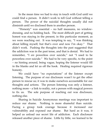In the mean time we had to stay in touch with God until we could find a person. It didn't work to tell God without telling a person. The power of the suicidal thoughts usually did not diminish until we disclosed them to another person.

'Honesty' was essential – no half measures, no windowdressing, and no holding back. The most difficult part of getting honest was staying in the present, in this particular moment, as we were reaching out. It was tempting to say, 'I was thinking about killing myself, but that's over and now I'm okay.' That didn't work. Pushing the thoughts into the past suggested that the addiction was in the past tense, and that is denial. We had to remember, 'I *am* powerless over suicide,' not 'I used to be powerless over suicide.' We had to be very specific, to the point – no hinting around, being vague, hoping the listener would fill in the blanks and let us off the hook. Healing required rigorous honesty.

We could have "no expectations" of the listener except listening. The purpose of our disclosure wasn't to get the other person to rescue us; it was to make ourselves accountable for our thoughts and actions. The person listening was only a listener, nothing more – a link to reality, not a person with magical powers to fix us. The sole purpose of reaching out was disclosure, nothing else.

Sharing in Suicide Anonymous meetings was important to reduce our shame. Nothing is more shameful than suicide. Facing a group took courage because it increased our vulnerability and exposed our shame. But hard as it was, it helped us unload our secret life of addiction. Each disclosure released another piece of shame. Little by little, we learned to be

19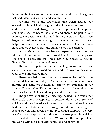honest with others and ourselves about our addiction. The group listened, identified with us, and accepted us.

For most of us the knowledge that others shared our obsession with suicidal thoughts and actions was both surprising and a relief. We had struggled and made promises to stop, but could not. As we heard the stories and shared the pain of our fellows, we began to understand that we were not alone. We began to feel safe in sharing our own stories of pain and helplessness in our addiction. We came to believe that there was hope and we began to trust the guidance we were offered.

Our spiritual bankruptcy left us desperate to learn how to fill the hole in our soul. We learned that there were steps we could take to heal, and that these steps would teach us how to live our lives with serenity and peace.

Through our pain, we became willing to surrender. We came to believe. We turned our will and lives over to the care of God, as we understood him.

These steps led us from the soul-sickness of the past, into the promised freedom of today. One day at a time, sometimes one minute at a time, we learned to lean on the guidance of our Higher Power. Our life is not ours, but His. By working the steps, we learned to live and not just endure each day.

The process of sharing at meetings healed us in ways that defy explanation. Acceptance as suicide addicts by a group of suicide addicts allowed us to accept parts of ourselves that we had hated and hidden. As we brought our darkness into light, it lost its power. Moreover, the group provided support. We were *not alone*. As we spoke the truth about our struggles with suicide, we provided hope for each other. We weren't the only people in the world with these thoughts, fantasies, and behaviors.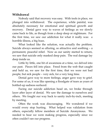## **Withdrawal**

Nobody said that recovery was easy. With tools in place, we plunged into withdrawal. The experience, while painful, was absolutely necessary for emotional and spiritual growth and recovery. Denial gave way to waves of feelings as we slowly came back to life, as though from a deep sleep or nightmare. For the first time, we saw our addiction for what it really was: a horrible illness, a big hoax.

What looked like the solution, was actually the problem. Suicide always seemed so alluring, so attractive and soothing – a permanent, peaceful relief. Now as our sanity started to return, we saw that suicide only masked deep pain. The real damage lay deep inside us.

Little by little, one bit of awareness at a time, we delved into our past. Pieces fell into place. Freed from the web that caught and held us, we saw for the first time, that we were not bad people, but sick people – very sick, for a very long time.

Denial gave way to more feelings, anger gave way to grief. For some of us, it was like opening a floodgate of tears as years of bottled-up sadness surfaced.

Facing our suicide addiction head on, we broke through layer after layer of denial. We saw the damage to ourselves and others. We fought our way back to sanity inch-by-inch, meeting by meeting.

Often the work was discouraging. We wondered if we would every stop hurting. What helped was validation from others, especially fellow members of Suicide Anonymous. We needed to hear we were making progress, especially since we often couldn't see our progress.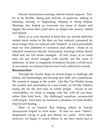Suicide Anonymous meetings offered mutual support. They let us be flexible, taking part actively or passively, talking or listening, sharing or supporting, helping or being helped. Meetings also helped us overcome our sense of shame and stigma, the forces that could drive us deeper into secrecy, denial and relapse.

Many of us were shocked to learn that our suicide addiction started much earlier in life than we first realized, consumed far more energy than we realized, and 'hooked' us more powerfully than we first admitted to ourselves and others. Some of us attended numerous Suicide Anonymous meetings before denial lifted and our full stories emerged. At first, many of us could only see our recent struggle with suicide, not the years of addiction. In time, as fragments of memory became a whole story in our minds, we realized that we were truly addicted to suicide.

## **Reconnection**

Through the Twelve Steps we slowly began to challenge old beliefs, old relationships and develop new faith, new connections. We started to engage in the world. Like Rip Van Winkle facing the wonder and uncertainty of a new world, we felt like children facing life for the first time as whole people. Aware of our vulnerability, we chose to engage with life, with all our fears, rather than hold back. We challenged ourselves, reconnected with people. Each time we mastered a situation, we took another step toward healing.

Most of us learned that helping others in Suicide Anonymous helped *us* even more. At first we were 'takers', desperately trying to grab any lifeline we could. Over time, however, we began to watch others, to see their needs and to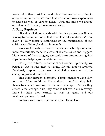reach out to them. At first we doubted that we had anything to offer, but in time we discovered that we had our own experiences to share as well as ears to listen. And the more we shared ourselves and listened, the more we healed.

## **A Daily Reprieve**

Like all addictions, suicide addiction is a progressive illness, leaving tracks in our brains that cannot be fully undone. We are given a 'daily reprieve contingent on the maintenance of our spiritual condition", $\delta$  and that is enough.

Working through the Twelve Steps made sobriety easier and more comfortable, made us aware of relapse issues and triggers. More aware of these triggers, we could take precautions against slips, in turn helping us maintain recovery.

Slowly, we restored our sense of self-esteem. Spiritually, we began at last to reconnect to family, friends, and co-workers. Previously trapped in our web of addiction, we now had the energy to give and receive love.

This didn't happen overnight. Family members were slow to trust. How could we blame them? At first, they held themselves apart, waiting for the next attempt. But as they sensed a real change in us, they came to believe in our recovery. Little by little, they learned to trust us again, and our relationships began to heal.

We truly were given a second chance. Thank God.

 $\overline{a}$ 8 Ibid, 85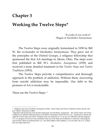## **Chapter 3**

## **Working the Twelve Steps\***

 "It works if you work it" -Slogan of Alcoholics Anonymous

The Twelve Steps were originally formulated in 1938 by Bill W, the co-founder of Alcoholics Anonymous. They grew out of the principles of the Oxford Groups, a religious fellowship that sponsored the first AA meetings in Akron, Ohio. The steps were first published in Bill W's *Alcoholics Anonymous* (1939) and received a more detailed treatment in his *Twelve Steps and Twelve Traditions* (1953).

The Twelve Steps provide a comprehensive and thorough approach to the problem of addiction. Without them, recovering from suicide addiction may be impossible. Our debt to the pioneers of AA is incalculable.

These are the Twelve Steps: <sup>9</sup>

 $\overline{a}$ 

<sup>\*</sup> Adapted in part from *Alcoholics Anonymous* (1939*), Twelve Steps and Twelve Traditions* (1953), and *Sex and Love Addicts Anonymous* (1986).

<sup>9</sup> Reprinted with permission from Suicide Anonymous and Alcoholics Anonymous. The Twelve Steps and Twelve Traditions are reprinted with permission of Alcoholics Anonymous World Services, Inc. Permission to reprint and adapt the Twelve steps and Twelve Traditions does not mean that A.A. is in any way affiliated with this program. A.A. is a program of recovery from alcoholism only-use of the Steps and Traditions in connection with programs and activities which are patterned after A.A., but which address other problems, or in any other non-A.A. context, does not imply otherwise.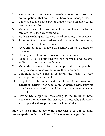- 1. We admitted we were powerless over our suicidal preoccupation - that our lives had become unmanageable.
- 2. Came to believe that a Power greater than ourselves could restore us to sanity.
- 3. Made a decision to turn our will and our lives over to the care of God *as we understood Him*.
- 4. Made a searching and fearless moral inventory of ourselves.
- 5. Admitted to God, to ourselves, and to another human being the exact nature of our wrongs.
- 6. Were entirely ready to have God remove all these defects of character.
- 7. Humbly asked Him to remove our shortcomings.
- 8. Made a list of all persons we had harmed, and became willing to make amends to them all.
- 9. Made direct amends to such people wherever possible, except when to do so would injure them or others.
- 10. Continued to take personal inventory and when we were wrong promptly admitted it.
- 11. Sought through prayer and meditation to improve our conscious contact with God *as we understood Him*, praying only for knowledge of His will for us and the power to carry that out.
- 12. Having had a spiritual awakening as the result of these steps, we tried to carry this message to those who still suffer and to practice these principles in all our affairs.

## **Step 1 : We admitted we were powerless over our suicidal preoccupation -- that our lives had become unmanageable.**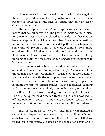No one wants to admit defeat. Every instinct rebels against the idea of powerlessness. It is truly awful to admit that we have become so obsessed by the idea of suicide that only an act of Grace can set us right.

The word "powerlessness" sums up for us several ideas. It means that we ourselves lack the power to make sound choices for our own lives. We are enslaved to suicide. The fact that we became captive to suicide shows that there was something important and powerful in our suicidal patterns which gave us some kind of 'payoff'. Many of us were seeking, by consuming ourselves with suicidal activity, to shut off the world with all of its demands. Or we masked our fear of commitment to life by thinking of death. We made use of our suicidal preoccupations to lessen our pain.

Soon our obsession became an addiction which destroyed our ability to concentrate on important things. One by one, all the things that make life worthwhile -- satisfaction at work, family, friends, and social activities -- dropped away as suicide absorbed all our time and attention. Some of us were caught up in the hypnotic intensity of suicidal trances. Such experiences, calming at first, became overwhelmingly compelling, carrying us along with them into prolonged bondage to our thoughts of suicide. The original quest for distraction from life's tensions now led us off into oblivion. Control over our lives no longer resided within us. We had lost control, whether we admitted it to ourselves or not.

Each of us, in his or her own time, finally experienced a sense of real desperation. We began to realize that living with our addictive patterns and being controlled by them meant that we risked losing our sanity. We stood on the edge of an abyss, and if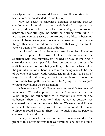we slipped into it, we would lose all possibility of stability or health, forever. We decided we had to stop.

Now we began to confront a paradox: accepting that we couldn't control our addiction to suicide is the first step towards recovery. Most of us had tried all sorts of strategies to control our behavior. These strategies, no matter how strong, were futile. If we had some initial success in controlling our addictive behavior, we would become smug and conclude that we could now manage things. This only lowered our defenses, so that we gave in to old patterns again, often within days or hours.

Our loss of control had become an established fact. Therefore we could approach the prospect of surrendering our suicide addiction with true humility, for we had no way of knowing if surrender was even possible. True surrender of our suicide addiction meant not only being willing to take ourselves out of the painful situation at hand; it also meant being ready to be free of the whole obsession with suicide. The resolve only to be rid of a *specific* painful situation, without the readiness to break the whole addictive pattern, amounted to "going on the wagon" without truly giving up the addiction.

When we were first challenged to admit total defeat, most of us revolted. We had approached Suicide Anonymous expecting to be taught the self-confidence to conquer our own suicide addiction. Then we were told that, so far as suicide was concerned, self-confidence was a liability. We were the victims of a mental obsession so powerful that no amount of human willpower could break it. There was no such thing as personal conquest of this addiction.

Finally, we reached a point of unconditional surrender. The proof of this surrender was that we refrained, one day at a time,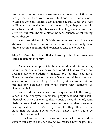from every form of behavior we saw as part of our addiction. We recognized that these were no-win situations. Each of us was now willing to go to any length, a day at a time, to stay sober. We were willing to be available to whatever might happen within ourselves. Paradoxically, this was not willingness coming from strength, but from the certainty of the consequences of continuing our addiction.

We were driven to Suicide Anonymous, and there we discovered the fatal nature of our situation. Then, and only then, did we become open-minded, to listen as only the dying can.

#### **Step 2 : Came to believe that a Power greater than ourselves could restore us to sanity.**

As we came to appreciate the magnitude and mind-altering nature of suicide addiction, we had to admit that we could not reshape our whole identity unaided. We felt the need for a Someone greater than ourselves, a Something at least one step ahead of our disease, to give us the guidance we could not provide for ourselves. But what might that Someone or Something be?

We found the best answer to this question of faith through other Suicide Anonymous members, people who had found faith themselves. As we listened to their stories, we could identify with their patterns of addiction. And we could see that they were now leading healthier lives. As living examples, they offered us the hope that the same Power who had helped them might be available to us as well.

Contact with other recovering suicide addicts also helped us sustain our day-to-day sobriety. As we realized how helpful this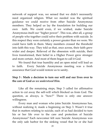network of support was, we sensed that we didn't necessarily need organized religion. What we needed was the spiritual guidance we could receive from other Suicide Anonymous members. They helped us lay the foundation for building our own faith. We could even, if we wished, make Suicide Anonymous itself our 'higher power'. This was, after all, a group of people who together could solve their problem with suicide. In this respect they were certainly a power greater than we were. We could have faith in them. Many members crossed the threshold into faith this way. They told us that, once across, their faith grew wider and deeper. Relieved of the obsession with suicide, their lives transformed, their belief in a Higher Power grew stronger and more certain. And most of them began to call it God.

We found that true humility and an open mind will lead us to faith. Every Suicide Anonymous meeting was a fresh assurance that God would restore us to sanity.

#### **Step 3 : Made a decision to turn our will and our lives over to the care of God** *as we understood Him.*

Like all the remaining steps, Step 3 called for affirmative action to cut away the self-will which blocked us from God. The question, as always, is "how?" There is only one answer: willingness.

Every man and woman who joins Suicide Anonymous has, without realizing it, made a beginning on Step 3. Wasn't it true that in matters relating to suicide, each of us had decided to turn his or her life over to the care and protection of Suicide Anonymous? Each newcomer felt sure Suicide Anonymous was the only safe harbor for the sinking vessel that he or she had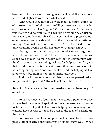become. If this was not turning one's will and life over to a newfound Higher Power , then what was it?

What would it be like, if we were really to empty ourselves of diseases and refrain from refilling ourselves again with anything other than God's grace? We had no idea. All we knew was that we did not want to go back into active suicide addiction. We came to understand that if we were unable to prescribe our own treatment for suicide addiction, then we would be better off turning 'our will and our lives over' to the God of our understanding even if we did not know what might happen.

Having made this decision, how could we now begin our new relationship with God? The answer was simple; what we added was prayer. We now began each day in communion with the God of our understanding, asking for help to stay free, for that one day, of addictive behavior. And if we were successful in not acting out by day's end, we thanked God for helping us live another day free from bottom-line suicide addiction.

And in all times of emotional disturbance we paused, asked for quiet and simply said: 'Thy will, not mine, be done.'

#### **Step 4 : Made a searching and fearless moral inventory of ourselves.**

To our surprise we found that there came a point where we approached the task of Step 4 without fear because we had come to terms with Step 3. If God was helping us to manage our external lives, it was easier to be open to the idea of clearing up the debris.

But how were we to accomplish such an inventory? No two people did it exactly alike; there was no single 'right way'. What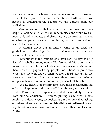we needed was to achieve some understanding of ourselves without fear, pride or secret reservations. Furthermore, we needed to understand the payoffs we had derived from our addictions.

Most of us found that writing down our inventory was helpful. Looking at what we had done in black and white was an invaluable aid to honesty and objectivity. As we read our version of what happened, we could see through our excuses and our need to blame others.

In writing down our inventory, some of us used the guidelines in the Big Book of Alcoholics Anonymous: resentments, fears and sex.

'Resentment is the 'number one' offender.' So says the *Big Book* of Alcoholics Anonymous.<sup>10</sup> We also found this to be true for us suicide addicts. In order to deal with our resentments, we set them down on paper, listing people, institutions or principles with which we were angry. When we took a hard look at why we were angry, we found that we had seen threats to our self-esteem, our pocketbooks, our ambitions, or our personal relationships.

We saw clearly, for the first time, how these resentments led only to unhappiness and shut us off from the very contact with a Higher Power that we desperately needed for our daily reprieve from suicide addiction. Therefore, putting aside what others might have done wrong, we looked at our own mistakes, asking ourselves where we had been selfish, dishonest, self-seeking and frightened. When we saw our faults, we listed them in black and white.

 $\overline{a}$ <sup>10</sup> Alcoholics Anonymous, (New York: AA World Services, 1976), 64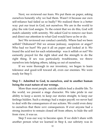Next, we reviewed our fears. We put them on paper, asking ourselves honestly why we had them. Wasn't it because our own self-reliance had failed us so badly? We realized there is a better way: put our trust in God, not ourselves. We are in the world to play the role God assigns. To the extent that we do this, God will match calamity with serenity. We asked God to remove our fears and direct our attention to what God would have us be or do.

Sex! We reviewed our conduct carefully. Where had we been selfish? Dishonest? Did we arouse jealousy, suspicion or anger? Who had we hurt? We put it all on paper and looked at it. We found the acid test for each relationship: was it selfish or not? We earnestly prayed for the right ideal and the strength to do the right thing. If sex was particularly troublesome, we threw ourselves into helping others, taking us out of ourselves.

If we were thorough in our inventory, we began to learn tolerance and good-will toward all, even our enemies. We were ready for Step 5.

#### **Step 5 : Admitted to God, to ourselves, and to another human being the exact nature of our wrongs.**

More than most people, suicide addicts lead a double life. To the world, we present a stage character. We take pride in our ability to keep a secret, to keep our stories straight, to keep our feelings hidden. Such a strategy had a major payoff; we never had to deal with the consequences of our actions. We could even deny to ourselves that there *were* consequences. If ever anyone had a strong incentive to remain closed off from others, to hide the self from view, it was us.

Step 5 was our way to become open. If we didn't share with another person what we learned in Step 4, our sobriety was in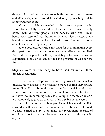danger. Our profound aloneness -- both the root of our disease and its consequence -- could be eased only by reaching out to another human being.

Many of us felt we needed to find just one person with whom to be totally honest. Most of us had tried being partially honest with different people. Total honesty with one human being was essential for humility. It was also necessary for breaking the isolation that had blocked us from the unconditional acceptance we so desperately needed.

So we pocketed our pride and went for it, illuminating every dark part of our past. Once done, we were relieved and excited. We could look people in the eye and begin to have a spiritual experience. Many of us actually felt the presence of God for the first time.

**Step 6 : Were entirely ready to have God remove all these defects of character.**

In the first five steps we were moving away from the active disease. Now, at Step 6, we needed to make our first step toward re-building. To attribute all of our troubles to suicide addiction would have been a serious error, for our character defects affected our lives too. In becoming ready to give up our character defects, we were ready to give up that part of us capable of "the con".

Our old habits had subtle payoffs which were difficult to surrender. Often victims of emotional deprivation in childhood, we had learned to survive on anger and resentment. Because of our inner blocks, we had become incapable of intimacy with anyone.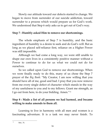Slowly our attitude toward our defects started to change. We began to move from surrender of our suicide addiction, toward surrender to a process which would prepare us for God's work. We understood that Step 6 only asks us to get out of God's way.

## **Step 7 : Humbly asked Him to remove our shortcomings.**

The whole emphasis of Step 7 is humility, and the basic ingredient of humility is a desire to seek and do God's will. But as long as we placed self-reliance first, reliance on a Higher Power was still impossible.

Although we had come a long way, we were still unable to shape our own lives in a consistently positive manner without a Power to continue to do for us what we could not do for ourselves.

So we called upon God to remove our shortcomings. When we were finally ready to do this, many of us chose the Step 7 prayer of the *Big Book*: 'My Creator, I am now willing that you should have all of me, good and bad. I pray that you now remove from me every single defect of character which stands in the way of my usefulness to you and to my fellows. Grant me strength, as I go out from here, to do your bidding. Amen."<sup>11</sup>

## **Step 8 : Made a list of all persons we had harmed, and became willing to make amends to them all.**

Learning to live in harmony with all men and women is a fascinating adventure. It is a task we may never finish. To

 $\frac{1}{11}$ Ibid., 76.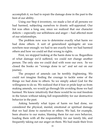accomplish it, we had to repair the damage done in the past to the best of our ability.

Using our Step 4 inventory, we made a list of all persons we had harmed, subjecting ourselves to drastic self-appraisal. Our list was often a long one, since we realized that our character defects -- especially our selfishness and anger -- had affected most of our relationships.

The problem now was to determine exactly what harm we had done others. A sort of generalized apologetic air was nowhere near enough: we had to see exactly how we had harmed others and how we could set that wrong to rights.

First, we stopped looking at the harm done to us. Regardless of what damage we'd suffered, we could not change another person. The only sins we could deal with were our own. So we closed the books on 'wrongs done to us' and set out on our journey.

The prospect of amends can be terribly frightening. We could not imagine finding the courage to tackle some of the things we had done to others. So we simply asked God for the willingness to do so. We realized that if fear or pride kept us from making amends, we would go through life avoiding those we had harmed. We knew intuitively that there would be no real freedom in the future without taking full responsibility for our destructive behavior in the past.

Asking honestly what types of harm we had done, we considered the physical, mental, emotional or spiritual damage that we had done to ourselves or others. We had, for example, been abusive to our mates, blaming them for our own behavior, loading them with all the responsibility for our family life, and frequently taking out our anger on them. We had made their lives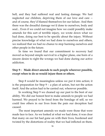hell, and they had suffered real and lasting damage. We had neglected our children, depriving them of our love and care - and of course, they'd blamed themselves for our failure. And then there was the dreadful damage we'd done to ourselves, body and soul... Even if we could not imagine how we could possibly make amends for this sort of terrible injury, we wrote down what we had done, doing our best to be specific about the injury. Without precise knowledge of what we had done to ourselves and others, we realized that we had no chance to stop harming ourselves and other people in the future.

In time we found that our commitment to recovery had moved us beyond simple survival to a higher plane, one born of a sincere desire to right the wrongs we had done during our active addiction.

#### **Step 9 : Made direct amends to such people wherever possible, except when to do so would injure them or others.**

Step 8 would be meaningless unless we put it into action; it is the preparation for Step  $9 - a$  plan of action, but not the action itself. And the action had to be carried out, wherever possible.

In working Step 9 we cleaned up our past to the best of our ability. We did our honest best to make amends to people we had harmed. We prayed to be freed from the bondage of self, so we could free others in our lives from the pain our deception had caused.

The most important amends we made were those that were made face to face. As we looked at what we had done, it was clear that many on our list had gone on with their lives, burdened and twisted by the distortions of reality that we had inflicted on them.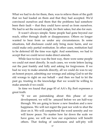What we had to do for them, then, was to relieve them of the guilt that we had loaded on them and that they had accepted. We'd convinced ourselves and them that the problems had somehow been their fault -- that they could have saved us from ourselves. We had to set the record straight, for their sakes, but also for ours.

It wasn't always simple. Some people had gone beyond our reach, either through death or disappearance. Others no longer wanted to hear from us under any circumstances. In some situations, full disclosure could only bring more harm, and we could make only partial restitution. In other cases, restitution had to be deferred till the time was right. And sometimes, we had to accept that we could never make direct amends.

While face-to-face was the best way, there were some people we could not meet directly. In such cases, we wrote letters laying out the past frankly and fully and asking for forgiveness. If we had no way to make amends directly, all we could do was to say an honest prayer, admitting our wrongs and asking God to set the old wrongs to right on our behalf – and then we had to let the past go, trusting in the knowledge that we would be willing to make amends if we could.

In time we found that page 83 of AA's *Big Book* expresses a great truth:

> 'If we are painstaking about this phase of our development, we will be amazed before we are half-way through. We are going to know a new freedom and a new happiness. We will not regret the past nor wish to shut the door on it. We will comprehend the word serenity and we will know peace. No matter how far down the scale we have gone, we will see how our experience will benefit others. That feeling of uselessness and self-pity will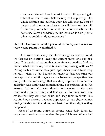disappear. We will lose interest in selfish things and gain interest in our fellows. Self-seeking will slip away. Our whole attitude and outlook upon life will change. Fear of people and of economic insecurity will leave us. We will instinctively know how to handle situations which used to baffle us. We will suddenly realize that God is doing for us what we could not do for ourselves."

## **Step 10 : Continued to take personal inventory, and when we were wrong promptly admitted it.**

Once we cleared away the old wreckage as best we could, we focused on clearing away the current mess, one day at a time. 'It is a spiritual axiom that every time we are disturbed, no matter what the cause, there is something wrong with us." $^{12}$ During such a disturbance, a quick spot check proved to be very helpful. When we felt flooded by anger or fear, checking our own spiritual condition gave us much-needed perspective. We hung onto the knowledge that our daily reprieve from suicide addiction was contingent on maintaining our spiritual lives. We learned that our character defects, outrageous in the past, continued in milder form, and that we had to recognize them, realize that they were part of us, and keep them in check. This required our making frequent appraisals of our shortcomings during the day and then doing our best to set them right as they happened.

Most of us found ourselves setting aside daily times for prayer and meditation to review the past 24 hours. Where had

 $\frac{1}{12}$ 

*Twelve Steps and Twelve Traditions*, (New York: AA World Services, 1981), 90.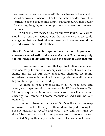we been selfish and self-centered? Had we harmed others, and if so, who, how, and when? But self-examination aside, most of us learned to spend prayer time simply thanking our Higher Power for the day, its gifts, our accomplishments -- even for our own failures.

In all of this we focused *only* on our own faults. We learned slowly that our own actions were the only ones that we could change -- that we had always been, and forever would be powerless over the deeds of others.

## **Step 11 : Sought through prayer and meditation to improve our conscious contact with God** *as we understood Him***, praying only for knowledge of His will for us and the power to carry that out.**

By now we were convinced that spiritual reliance upon God was necessary for our relationships with others, at work and at home, and for all our daily endeavors. Therefore we found ourselves increasingly praying for God's guidance in all matters, big and little, spiritual and worldly.

We came to need prayer as much as we need food and water, for prayer sustains our very souls. Without it we suffer. The only requirements for our prayers were unselfishness and sincerity. We wanted to become channels of God's will, not our own will.

In order to become channels of God's will we had to keep our own wills out of the way. To this end we stopped praying for specific answers to specific problems. 'Thy will, not mine, be done' became the basis for our prayers and conscious contact with God. Saying this prayer enabled us to clear a channel choked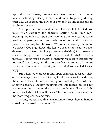up with selfishness, self-centeredness, anger or simple misunderstanding. Using it more and more frequently during each day, we learned the power of prayer in all situations and in all circumstances.

After prayer comes meditation. Once we talk to God, we must listen carefully for answers. Setting aside time each morning, we reflected upon the upcoming day, we read favorite meditation passages, and we made ourselves be still in God's presence, listening for His word. We found, curiously, the more we sensed God's guidance, the less we seemed to need to make demands upon God. Asking (or secretly desiring) for thus-andsuch to happen, we learned, only served to distort God's message. Prayer isn't a matter of making requests or bargaining for specific outcomes, and the more we learned to pray, the more we came to rely on God's will, not on what we wanted to see happen.

But when we were clear and open channels, focused solely on knowledge of God's will for us, intuitions came to us during these times of meditation and throughout each day. A word from another person, a thought popping into our minds, an idea for action emerging as we worked on our problems - all were likely to be knowledge of His will for us. The more open our channels, the more frequent the answers.

In time, we realized that 'we intuitively knew how to handle situations that used to baffle us." <sup>13</sup>

13

*Alcoholics Anonymous*, (New York: AA World Services, 1976), 84.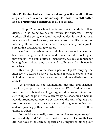**Step 12: Having had a spiritual awakening as the result of these steps, we tried to carry this message to those who still suffer and to practice these principles in all our affairs.**

In Step 12 we reach out to fellow suicide addicts still in distress. In so doing we ask no reward for ourselves. Having worked all the steps, we found ourselves deeply involved in a new state of consciousness, an awareness that life is full of meaning after all, and that it is both a responsibility and a joy to spread that understanding to others.

We found ourselves fully, delightedly aware that we had been given a great gift: a second chance at life. Looking at newcomers who still doubted themselves, we could remember having been where they were and really saw the change in ourselves.

This brought us to the second part of Step 12: carrying the message. We learned that we had to give it away in order to keep it. And who better to give it away to than fellow suffering suicide addicts?

We attended Suicide Anonymous meetings and listened, providing support by our very presence. We talked when our turn came; we chaired meetings, organized eating meetings, and signed up for the phone list. When ready, we sponsored others in Suicide Anonymous. Here we experienced the kind of giving that asks no reward. Paradoxically, we found no greater satisfaction and no greater joy than that which we received in our selfless giving to others.

But could we actually carry the Suicide Anonymous spirit into our daily work? We discovered a wonderful feeling that we did not have to be seen as special or distinguished among our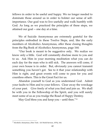fellows in order to be useful and happy. We no longer needed to dominate those around us in order to bolster our sense of selfimportance. Our goal was to live usefully and walk humbly with God. As long as we practiced the principles of these steps, we attained our goal -- one day at a time.

We of Suicide Anonymous are extremely grateful for the principles embodied in these Twelve Steps, and, like the early members of Alcoholics Anonymous, offer these closing thoughts from the Big Book of Alcoholics Anonymous, page 164:

'Our book is meant to be suggestive only. We realize we know only a little. God will constantly disclose more to you and to us. Ask Him in your morning meditation what you can do each day for the man who is still sick. The answers will come, if your own house is in order. But, obviously you cannot transmit something you haven't got. See to it that your relationship with Him is right, and great events will come to pass for you and countless others. This is the Great Fact for us.

Abandon yourself to God as you understand God. Admit your faults to Him and to your fellows. Clear away the wreckage of your past. Give freely of what you find and join us. We shall be with you in the Fellowship of the Spirit, and you will surely meet some of us as you trudge the Road of Happy Destiny.

May God bless you and keep you – until then."<sup>14</sup>

 $\overline{a}$ <sup>14</sup> Alcoholics Anonymous, (New York: AA World Services, 1976), 164.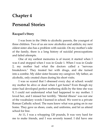## **Chapter 4**

## **Personal Stories**

## **Racquel's Story**

I was born in the 1960s to alcoholic parents, the youngest of three children. Two of us are now alcoholics and addicts; my next oldest sister also has a problem with suicide. On my mother's side of the family, there is a long history of suicidal preoccupations and failed attempts.

One of my earliest memories is of incest; it started when I was 4 and stopped when I was in Grade 1. When I was in Grade 2, my mother had what the doctors called a "nervous breakdown." They treated her with drugs, and she turned into a zombie. My older sister became my caregiver. My father, an alcoholic, only created chaos during his short visits.

I was so scared that I obsessed every day at school: would my mother be alive or dead when I got home? Even though my sister had developed perfect mothering skills by the time she was 9, I could not understand what had happened to my mother. I loved her, and I missed her terribly. "Mental illness" was not one of the vocabulary words I learned in school. We went to a private Roman Catholic school. The nuns knew what was going on in our home. They gave us shoes, coats, and uniforms, and let us attend school for free.

At 11, I was a whopping 120 pounds, It was very hard for me to make friends, and I was severely teased. I did have one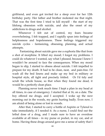girlfriend, and even got invited for a sleep over for her 12th birthday party. Her father and brother molested me that night. That was the first time I tried to kill myself - the start of my lifelong obsession with suicide, and also the onset of my addictions to drugs and alcohol.

Whenever I felt out of control, my fears became overwhelming. I felt trapped, and I rapidly spun into feelings of helplessness and hopelessness. These feelings triggered my suicide cycles - fantasizing, obsessing, planning, and actual attempts.

 Fantasizing about suicide gave me a euphoria like that from a shot of morphine. It lifted my mood; I forgot my problems. I could do whatever I wanted, say what I pleased, because I knew I wouldn't be around to face the consequences. When my mood began to slip, I started to obsess about suicide. I felt impelled to prepare for my death. It had to be clean, neat, and pain-free. I'd wash all the bed linens and make up my bed in military or hospital style, all tight and precisely folded. Or I'd tidy and scrub the whole house, so that when they found me dead, it would be a perfectly clean place.

Planning never took much time: I kept a plan in my head at all times, in case of emergency. I started that at 16, on a date. The boy offered me drugs, and I accepted. I woke up the next morning out in the woods, my groin hurting badly. Even now, I am afraid of being alone or lost in woods.

After that, I started to carry a bottle of Aspirin or Tylenol to take immediately, if I needed it. As a nurse, I could find out the lethal dose of a drug, and I made sure to have an overdose available at all times - in my purse or pocket, in my car, and at home. Having these drugs around gave me a sense of safety that I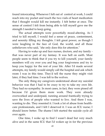found intoxicating. Whenever I felt out of control at work, I could reach into my pocket and touch the two vials of heart medication that I thought would kill me instantly. I felt better at once. The sense of control I felt from being able to kill myself gave me the strength I needed to keep going.

The actual attempts were powerfully mood-altering. As I tried to kill myself, I would feel a sense of peace, contentment, and serenity filling my thoughts. I felt great power, as though I were laughing in the face of God, the world, and all those unbelievers who said, "she only does this for attention."

Having to wake up and face nurses, doctors, and my family that was never part of my fantasy. It was hell on earth. Most people seem to think that if you try to kill yourself, your family members will cry over you and beg your forgiveness and try to keep you happy for the rest of your life. After I'd made several attempts, my family would simply call the hospital and ask which room I was in this time. They'd tell the nurse they might visit later, if they had time. I was left to the wolves.

The only thing my caregivers understood about my suicidal behavior was that I had to be crazy to try to take my own life. They had no sympathy. In most cases, in fact, they were pissed off because I'd given them more work. They were already overworked and underpaid, running around frantically trying to save the lives of people who wanted to live. And there I was, wanting to die. They resented it. I took a lot of abuse from healthcare professionals, and I felt I deserved it. I was an ICU nurse; I should know better. The shame I felt started the suicide cycle all over again.

One time, I woke up to find I wasn't dead but very much alive and in the same ICU that I'd woken up in for the previous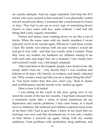six suicide attempts. And my anger exploded. God help the ICU nurses who were around at that moment! I was physically violent toward myself and others. I screamed like a madwoman for hours or days. They had to put me in every type of restraining device known to man, some with key, some without. I said and did things that I only vaguely remember.

Failure and shame came crashing down on me like a ton of bricks. When the nurse came with my family members I swore solemnly never to try suicide again. Whenever I said those words, I lied. My family was furious with me and wished I would die and get it over with - and that was exactly what I wanted. There they were, my mother, my husband, my children, staring at me with such pain and anger that, for a moment, I saw clearly how self-centered I really was. I felt deeply ashamed.

After each bout in the hospital, people were afraid of me. My family didn't trust me - why should they? I was watched and babysat at all times. My friends, co-workers, and family ridiculed me: "Why would a smart girl like you do a stupid thing like that?" or "You know better than that now, don't you." Back to shame and worthlessness, and the suicide cycle started up again.

Here is how it all ended:

I was sitting on the couch in late June, going over in my mind the events of the last few months. I had been released from a treatment center after a series of shock treatments for my depression and suicide problems. I had come home, to a small town in Alabama. My husband and children expected much more of me than I felt I had to give them. I knew in my heart that my marriage was over, and that devastated me. It was only a matter of time before I screwed up again. Along with my suicide addiction, I had problems with alcoholism, drug addiction, and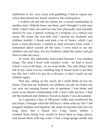addictions to sex, love, food, and gambling. I had to repeat any action that altered my mood, whatever the consequence.

I walked off and left my family for a sexual relationship in another state. Nobody knew me there, and I thought I could start fresh. I didn't find out until too late how physically and mentally abusive he was. I started working in a hospital, as a critical care nurse. My home life was hell, and I missed my husband and children terribly. I drank and took a lot of Xanax, which I got from a local physician. I started to steal narcotics from work. I fantasized about suicide all the time. I even tried to see my children one last time, but my husband called the police and got them to take me away.

At work, the authorities intervened because I was stealing drugs. The man I lived with couldn't work - he had to know where I was at all times - so we were broke. The only thing I had left of any value was my wedding ring. It meant more to me than my life, but I sold it to pay for a divorce, so that I could see my children again.

That day, sitting on the couch, all I could think of was my losses. I had lost my husband, my children, my job, my home, my car; now my nursing license was in question. I was broke and stuck in an abusive relationship with a man I did not love. I had left the husband and children I loved so dearly. I was devastated.

As I upended a liter of 100-proof vodka and swallowed the last drops, I thought what the hell have I done with my life? I felt trapped, helpless and hopeless. My stash of narcotics had run out long since, but I found five 1-mg Xanax tablets. I crushed them, being very careful to leave them in large pieces, and mixed them with tap water. I had a large-gauge needle and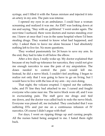syringe, and I filled it with the Xanax mixture and injected it into an artery in my arm. The pain was intense.

I opened my eyes in an ambulance. I could hear a woman screaming and realized it was me. An EMT was looking down at me and saying, "Stay with us, girlfriend." I went under again. The next time I surfaced, there were doctors and nurses standing over me. I knew at once that I was in the same hospital where I'd been stealing drugs. They wanted to know what had happened, and why. I asked them to leave me alone because I had absolutely nothing left to live for. No more questions.

They worked passionately for 24 hours to save my arm. In the end, they had to take it off below the elbow.

After a few days, I really woke up. My doctor explained that because of my built-up tolerance for narcotics, they could not give me enough narcotics to ease the pain of my amputation. The doses needed to control the pain would kill me. Instead, he did a nerve block. I couldn't feel anything. I began to realize not only that I was going to have to go on living, but I would have to live with the loss of my arm - my own doing.

That night, the volcano erupted. I ripped out the catheter, tube, and IV line they had attached to me. I cursed and fought everyone who came near me. The nerve block wore off, and I was in excruciating pain. The staff gave me drugs and tied me down, and the doctor was called back to redo the nerve block. Everyone was pissed off, me included. They concluded that I was suffering DTs and put me on a continuous infusion of IV narcotics. Of course I didn't argue with that!

For days, I went on ripping things up and cursing people. All the nurses hated being assigned to me. I hated them right back.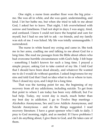One night, a nurse from another floor won the big prize me. She was all in white, and she was quiet, understanding, and kind. I let her bathe me, but when she tried to talk to me about God, I asked her to leave. That night, I felt overwhelmed with sorrow and loneliness. I had not slept in days; I was angry, tired, and confused. I knew I could not leave the hospital and care for myself, but I had no one left to ask - no friends, and my family was sick of me. I was licked. My life was totally unmanageable. I surrendered.

The nurse in white heard my crying and came in. She took me in her arms, cradling me and talking to me about God for a long time. She read me passages from the Bible about others who had overcome horrible circumstances with God's help. I felt hope - something I hadn't known for such a long time. I prayed a simple prayer, asking Got to take control of my life. I told God that I should have been dead already, and whatever He wanted me to do I would do without question. I asked forgiveness for my sins and told God that I had no idea what to do or where to turn. Then I closed my eyes, and I slept for a long time.

That was the turning point for me, the beginning of my recovery from all my addictions, including suicide. To get from that point to where I am today has been very difficult, but I've had help. Today, my worst day is much, much better than my best day in addiction. I go to Twelve Step meetings - Alcoholics Anonymous, Sex and Love Addicts Anonymous, and Suicide Anonymous - and do the things suggested. I read recovery literature. I have a great sponsor who I talk to daily. I pray to God morning, night, and as needed. If I have problems I can't do anything about, I give them to God, and He takes care of them.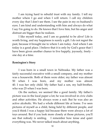I am trying hard to rebuild trust with my family. I tell my mother where I go and when I will return. I call my children every day that I don't see them. I see the pain in my ex-husband's eyes. I am kind and understanding with him and always do what I say I'm going to do. He knows that I love him, but his anger and distrust are bigger than he realizes.

I like myself today, and I am so grateful to be alive! Life is worth living, and my happiness is surely a gift. I do not regret the past, because it brought me to where I am today. And where I am today is a good place. I believe that it is only by God's grace that I have been given another chance to live happily, joyously, freely one day at a time.

#### **Remington's Story**

I was born in a small town in Nebraska. My father was a fairly successful executive with a small company, and my mother was a housewife. Both of them were older; my father was almost 50 when I was born, and my mother was almost 40. I was her only child. My father had a son, my half-brother, who was 25 when I was born.

On the surface, we seemed like a good family. My father's picture was in the local paper a lot; he was involved in civic clubs and other activities. He always wore a suit. But he was also an active alcoholic. We had a whole different life at home. I've seen pictures of myself as a child, being held by different people, and you'd think I was a happy kid because there were always a lot of toys around. But if you look more closely at those pictures, you'll see that nobody is smiling. I remember how tense and quiet everything was. We never talked much about anything.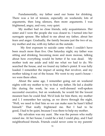Fundamentally, my father used our home for drinking. There was a lot of tension, especially on weekends; lots of arguments, then long silences, then more arguments. I was frightened, angry, and very, very quiet.

My mother had no close friends, only acquaintances. Her sister and I were the people she was closest to. I turned into her surrogate spouse. She talked to me about my father, about her fears and anger. Gradually, the family became just the two of us, my mother and me, with my father on the outside.

 My first exposure to suicide came when I couldn't have been much more than five. One Saturday night, my father was sitting and drinking, becoming more and more morose, talking about how everything would be better if he was dead. My mother took me aside and told me what we had to do. We searched the house, and we found my father's pistol. It was fully loaded. I remember the impact of seeing that revolver, and my mother taking it out of the house. We went to my aunt's house we were there often.

About the same age, I remember going out on weekend nights with my mother to try to find my father. He led a double life: during the week, he was a well-dressed well-spoken successful executive, but on weekends, he would hit the lowest meanest bars he could find. We'd look for him there, my mother and I. I remember her saying, as we drove through the night, "Well, we need to find him so we can make sure he hasn't killed himself." That really frightened me. But I had to be good, I had to be quiet, because I was there to help my mother.

My salvation was my aunt. She was the person who really raised me. At her house, I could be a kid; I could play, and I had neighborhood friends. Friends could never come to my parents'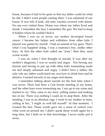house, because it had to be quiet so that my father could do what he did. I didn't want people coming there. I was ashamed of our house. It was full of junk, old ratty couches covered with sheets. No one ever visited there. Home was where my father lived and drank. I remember the fear; I remember the gun. We had to keep it hidden where he couldn't find it.

When I was six or seven, my mother developed breast cancer. I became her helper and withdrew from other kids. I played war games by myself. I had an arsenal of toy guns. That's what I was happiest doing. I was a mamma's boy, unlike other boys. At first the other kids called me "sissy"; then they used worse words.

I was six when I first thought of suicide. It was after my mother's diagnosis; I was so scared and angry. Not having any friends and having to put up with other kids' tormenting made me feel deeply ashamed and angry. I didn't have a father; the only role my father could teach me was how to drink beer and be abusive. I turned inward, in my anger and shame.

I remember talking about suicide for the first time when I was seven. There had been a Cub Scouts meeting at my home, and the other boys were tormenting me. I ran up to my room and started to cry. They came to my door, yelling names and making fun of me. There was nothing I could do to stop them. After the meeting, I was in an absolute rage. I went to my mother in tears, yelling at her, "I might as well kill myself!" At that moment, I crossed the line. Those words gave me a sense of control over what went on around me. I didn't speak those words again for a long time, but I held on to that knowledge. I never really put it away.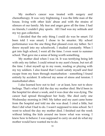My mother's cancer was treated with surgery and chemotherapy. It was very frightening. I was the little man of the house, living with other kids' abuse and with the strains of silences of our family. My fear and anger grew all the time. I had no friends; I couldn't play sports. All I had was my solitude and my toy gun collection.

I decided that the only thing I could do was be smart. I'd been told I was smart; I chose to be smarter. My school performance was the one thing that pleased even my father. So I threw myself into my schoolwork. I studied constantly. When I got into high school, I went all the time. I even went to summer school. That gave me a sense of being worth something.

My mother died when I was 14. It was terrifying being left with only my father. I could retreat to my aunt's house, but not all the time. I shut myself up in my room, reading or playing with my toy soldiers. I also found that I could satisfy myself and find escape from my fears through masturbation - something I found entirely by accident. It relieved my sense of stress and tension. I masturbated often.

I also learned how not to feel - or at least, how not to show feelings. That's what I did the day my mother died. She'd been in the hospital for about a week, and it was clear she was dying. The cancer had spread throughout her body. She died early one Wednesday morning in 1965. My father and my aunt came home from the hospital and told me she was dead. I cried a little, but then I did what I had to do. I wasn't supposed to miss school. So I went to school the day my mother died. I finished out the week without letting the kids around me know what was wrong. I knew how to behave: I was supposed to carry on and do what my mother would have wanted me to do.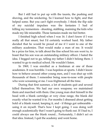But I still had to put up with the taunts, the pushing and shoving, and the snickering. So I learned how to fight, and that helped some. But you can't fight everybody. I think the flip side of my suicidal impulses was the fantasies I had of killing my tormentors - shooting, stabbing, maiming the kids who made my life miserable. Those fantasies made me feel better.

I finished high school when I was 16. I don't know if I was really all that smart, but I'd certainly worked hard. My father decided that he would be proud of me if I went to one of the military academies. That would make a man of me. It would be a prize for him, to talk about the fine school his son went to, to boast that his son was an outstanding military officer. I hated the idea. I begged not to go, telling my father I didn't belong there. I wanted to go to medical school. He wouldn't listen.

In 1969, I was enrolled as a freshman at one of those academies. It was horrible. I was hopeless at sports. I didn't know how to behave around other young men, and I was shut up with thousands of them. I remember being nose-to-nose with people who were screaming at me. I was frightened all the time.

During that first summer, a lot of students quit and several killed themselves. We had our own weapons; we maintained them and marched with them. One young man shot himself in the head with a blank cartridge; at very close range, the blank did exactly what he wanted it to. For months I obsessed about getting hold of a blank round, keeping it, and - if things got unbearable using it on myself. That's how I kept going. I was doing well enough academically that I wasn't going to flunk out. If I had to, I could always use the blank round... Fortunately, I didn't act on that idea. Instead, I quit the academy and went home.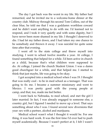The day I got back was the worst in my life. My father had remarried, and he invited me to a welcome-home dinner at the country club. Midway through his second Tom Collins, out of the clear blue, he told me that I was a goddamn worthless coward and he didn't want anything to do with me. I'd learned not to respond, and I took it very quietly and with some dignity, but I have never been more shamed in my life. I thought I deserved to die. I had let my father down, and I had taken my one chance to be somebody and thrown it away. I was suicidal for quite some time after that evening.

I went off to the state college and threw myself into studying. I went to school twelve months a year. At college, I found something that helped for a while. I'd been active in church as a child, because that's what children were supposed to do. At college, I joined the church Student Union. I was a damn good churchgoer for a while, and that helped me. I started to think that just maybe, life was going to be okay.

I got accepted into a medical school when I was 19. I thought that was really cool - to be in med school as a teenager. That was going to fix me. I became a summer missionary and went to Mexico. I was pretty good with the young people at camp, and that, too, made me feel better.

I went back to Nebraska, to med school, and met the girl I later married. In fact, I was already engaged to someone else, a country girl, but I figured I needed to move up a level. That says something about who I was. I found several new diversions that year: sex with a partner, alcohol and marijuana.

Medical school wasn't what I thought it would be. For one thing, it was hard work. It was the first time I'd ever had to push myself academically. Because I wasn't perfect at it, I felt I wasn't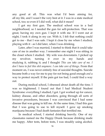any good at all. This was what I'd been aiming for, all my life, and I wasn't the very best at it. I was in a state medical school, too; so even if I did well, what did it mean?

I got my first gun. The medical school was in a bad neighborhood, so I needed the gun for self-protection. That was great, having my own gun. I kept it with me. If I went out at night, I took it along in my car. With it, I felt that nothing could get to me - that I was safe. I kept it close by me when I studied, playing with it - as I did later, when I was drinking.

Later, after I was married, I started to think that it could take care of me in another way. I remember one night I was sitting in the closet where I studied. My wife was downstairs. I picked up my revolver, turning it over in my hands and studying it, rubbing it; and I thought *This can take care of me. I don't have to feel this shit anymore. I can take care of things.* From that moment on, I was never entirely free of suicidal thoughts. Suicide became both a way for me to pay for not being good enough *and* a way to protect myself. If the pain got too bad, I could find a way out.

During medical school, I obsessed about death all the time. I was so frightened. I found out that I had Medical Student Syndrome: everything I studied, I got. I got worked up for cancer, kidney disease, and other disorders, going through all sorts of invasive procedures, because I was convinced that I had some disease that was going to kill me. At the same time, I had this gun that I was going to use to kill myself. I gave up smoking marijuana because I had death fantasies that terrified me.

In medical school, I started drinking heavily. One of my classmates named me the Happy Drunk because drinking made me happy. After tests, before tests, I was steadily using alcohol.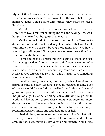My addiction to sex started about the same time. I had an affair with one of my classmates and broke it off the week before I got married. Later, I had affairs with nurses; they made me feel a little better.

My father died while I was in medical school. He died on New Year's Eve. I remember taking the call and saying, "Oh, well, happy New Year," as I hung up. That was that.

Medical school didn't fix me, so I went to North Carolina to do my ear-nose-and-throat residency. For a while, that went well. With more money, I started buying more guns. That was how I was going to kill myself. Guns gave me a sense of protection from whatever might threaten me.

As for addictions, I limited myself to guns, alcohol, and sex. As a young resident, I found it easy to find young women who wanted to be with young residents. None of these affairs ever lasted more than a month or so, but they came one after another. It was always unprotected sex, too - which, again, says something about my outlook on life.

I made it through residency and into practice. I went with a friend of mine to South Carolina. I thought perhaps making a lot of money would fix me. I didn't realize how frightened I was of going into practice. It was a multi-specialist practice, and I was the junior guy. I started drinking daily, drinking to go off to work, and having lots of sex. These affairs were more and more dangerous - sex in the woods, in a moving car. The ultimate was sex in a swimming pool during a thunderstorm, something I found immensely stimulating and dangerous as hell.

I had all the guns anyone could ever want. That's what I did with my money. I loved guns, lots of guns, and lots of ammunition. I was never a survivalist or militiaman. Guns were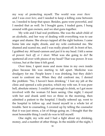my way of protecting myself. The world was over *there*  and I was over *here*, and I needed to keep a killing zone between us. I needed to keep that space. Besides, guns were powerful, and I needed that as well. So I bought guns, I traded guns, I hung around with gun owners, and we shot guns together.

My wife and I had real problems. She was the adult child of an alcoholic, and her way of dealing with everything was to use anger and shame. She always tapped all the right buttons. I came home late one night, drunk, and my wife confronted me. She shamed and scared me, and I was really pissed off. In front of her, I grabbed my .44 hand-cannon and put it to my head. I felt a sense of power: *back off, or I shoot.* What was she going to do? Be spattered all over with pieces of my head? That was power. It was vicious, but at the time it felt good.

Over time, I spent more and more time in my own inside place because life was starting to fall apart. Medicine was drudgery for me. People knew I was drinking, but they didn't want to confront me. When they did confront me, I denied the problem: "No, I haven't been drinking." I lost my job at the clinic and opened a solo practice, which my wife ran. It was pure hell, absolute misery. I couldn't get enough to drink, so I got more involved with the woman I'd been seeing. One night, I stayed with her and drank until two or three in the morning, then admitted a patient to the hospital. I finally sobered up, went to the hospital to follow up, and found myself in a whole lot of trouble. Sent to counseling, I covered up by telling the counselor that it was just stress, a lot of things going on. I thought that the most honorable thing I could do was to kill myself.

One night, my wife and I had a fight about my drinking, money, and a number of other things. In the middle of the night, I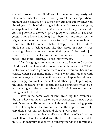started to sober up, and it felt awful. I pulled out my trusty .44. This time, I meant it. I waited for my wife to fall asleep. When I thought she'd nodded off, I cocked my gun and put my finger on the trigger. I rubbed the trigger lightly, with a sense of tingling anticipation. I can't describe it: it was a sense of *I'm going to get the hell out of here, and wherever I go it's going to be quiet and I will be at peace.* I don't know how long I sat there with my finger on the trigger - minutes or hours. I was trying to experience how it would feel, that last moment before I stepped out of life. I don't think I've had a feeling quite like that before or since. It was amazing. I *knew* that when I pulled that trigger. I'd be dead. I just wanted to savor the feeling before that moment. If that's not mood - and mind - altering, I don't know what is.

After dragging on for another year or so, I went to Colorado. I told myself that I wanted to go to the mountains and ski. What I really wanted was to go somewhere where *I* wouldn't be, and of course, when I got there, there *I* was. I went into practice with another surgeon. The same things started happening all over again: angry outbursts at patients and others; people picking up the smell of alcohol on my breath and not being sure what to do, not wanting to raise a stink about it. I did, however, get into skiing, which I loved.

I lived in the home town of John Browning, the inventor of the .45-caliber automatic pistol. Pure coincidence, I think. I even met Browning's 91-year-old son. I thought I was doing pretty well, but every time I had to come in from the slopes or from a ski trip, there *I* was, still drinking and playing with guns.

One afternoon, while my wife was still at the office, I got my trust .44 out. I kept it loaded with the heaviest rounds I could fit in it. A .44 magnum loaded with hunting rounds is a formidable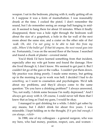weapon. I sat in the bedroom, playing with it, really getting off on it. I suppose it was a form of masturbation. I was reasonably drunk at the time. I cocked the pistol. I don't remember the sound, but I do remember seeing an orange ball hanging in midair. It seemed to hang there for about 10 minutes. When it finally disappeared, there was a hole right through the bedroom wall about the size of a grapefruit, a hole in the far wall of the next room about the same size, and a crater on the other side of *that*  wall. *Oh, shit. I'm not going to be able to hide this from my wife...Where'd the bullet go? If that hit anyone, the next round goes into me.* Fortunately, I was on the second floor of the house. I searched and found a chunk of plaster - covered metal.

You'd think I'd have learned something from that incident, especially after my wife got home and found the damage. How she lived through it, I don't know. We seemed to get past it. But I couldn't let go of the gun or the vodka. I couldn't put them down. My practice was doing poorly. I made some money, but getting up in the morning to go to work was hell. I decided I had to do *something,* so I went to counselors and psychologists. We'd talk about my problems, and they'd always come to the same question: "Do you have a drinking problem?" I always answered, "No, not really. I drink some because I'm really depressed." And I always got away with it. Of course, I could never tell them that I knew that as long as I had my guns, I would be okay.

I managed to quit drinking for a while. I didn't get sober by any means, but I didn't drink for about five years. I was miserable. I kept holding on to the thought, *If it gets bad enough, I can always...<click>*

In 1988, one of my colleagues - a general surgeon, who was my hero, who had money, position, respect, cars, and women -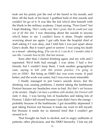took out his pistol, put the end of the barrel in his mouth, and blew off the back of his head. I grabbed hold of that suicide and couldn't let go of it. It was like the kid who'd shot himself with the blank in the military academy. I kept saying, "Poor Gene!" but I kept thinking, *That's really cool, that's great, that he could just step out of all this shit.* I was obsessing about the suicide to anyone who'd listen to me. I couldn't leave it alone. People started worrying about me again. I got calls from the hospital chief of staff asking if I was okay, and I told him I was just upset about Gene's death. But it wasn't grief or sorrow: I was using his death as a mood - altering drug. *If he can do it, I can do it. I wonder what it was like. I wonder how he felt, that last minute.*

Soon after that, I started drinking again, and my wife and I separated. We'd both had enough. I was alone. I had a few friends, but I couldn't keep them. I took another geographical cure, saying *to hell with this private practice; I'm going to join an HMO.* But being an HMO doc was even worse. It paid better, and the work was easier, but I was even more miserable.

I finally managed to put Gene's suicide down, but the drinking was causing problems. I started taking the barbiturate Fioricet because my headaches were so bad. *But that's not because of the alcohol,. Maybe I do have a problem with alcohol, but Fioricet will make it okay.* I was having lots of headaches and taking lots of Fioricet. I didn't kill myself because I just didn't have the energy probably because of the barbiturate. I got incredibly depressed. I quit taking Fioricet not because it made me want to kill myself, but because it made me so damned tired that I couldn't get around to it.

That brought me back to alcohol, and to angry outbursts at patients, other physicians, and the HMO hierarchy. I lost my job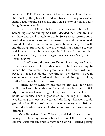in January, 1993. They paid me off handsomely, so I could sit on the couch putting back the vodka, always with a gun close at hand. I had nothing else to do, and I had plenty of vodka. I just hung there for a while.

It was then, I think, that God came back into the picture. Something started pulling me back. I decided that I couldn't just sit there and drink myself to death. So I started looking for a medical job again. I also met my present wife, and that was good. I couldn't find a job in Colorado - probably something to do with my drinking! But I found work in Kentucky, at a clinic. My wife and I were married, but she stayed in Colorado for her health. I said to myself, *I'm going to work again, and this time when I get there, I won't be there.*

I took off across the western United States, my car loaded with my clothes, a bottle of vodka under the back seat and my .44 under the front seat. God's grace must have been with me, because I made it all the way through the desert - through Colorado, across New Mexico, driving through the night drinking vodka. God must have been at work.

I finally got to Kentucky and put the gun away for a little while, but I kept the vodka out. I started work in August, 1994. My bottoming-out was in sight. First, I carried the regular-sized bottle of vodka. Then I graduated to the big jug. Then I was keeping two jugs in my car and drinking whenever I could get out of the office. I lost my job. It was real scary now. Before I would drink when I needed to drink, but now there was no notdrinking.

My wife arrived from Colorado, and I don't know how I managed to hide my drinking from her. I kept the booze in my car and went out ten times a night for a drink. I started getting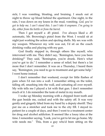sick; I was vomiting, bloating, and bruising. I snuck out at night to throw up blood behind the apartment. One night, in the rain, I was down on my knees in the mud, vomiting. *God, you've got to help me. I can't stand this. I can't take it anymore. I'm going to die, either from the bottle or from the barrel.*

Then I got myself a .45 pistol. I've always liked a .45 automatic, Mr. Browning's pistol from the West. I would sit at night just working the action and ejecting shells. My sex was with my weapon. Whenever my wife was out, I'd sit on the couch drinking vodka and playing with my gun.

God finally stepped in, through others like myself, who intervened with me. They didn't say, "Remington, have you been drinking?" They said, "Remington, you're drunk. Here's what you've got to do." I remember a sense of relief; but there's a lot more that I don't remember. It was on a Thursday, I heard them say, "Remington, you need to go to treatment and get some help." I went home instead.

I don't remember that weekend, except for little flashes of pain when I'd run into a wall. I remember sitting on the toilet, falling off, smashing into the wall, and urinating all over myself. My wife tells me I played a lot with that gun. I don't remember much of it. I do remember the taste of metal in my mouth.

I woke up Monday morning with a chipped front tooth and the gun beside me, cocked and with the safety off. It was very gently and gingerly lifted from my hand by a deputy sheriff. They put me on a stretcher and took me to the city ER. I stayed inpatient for a couple of days, and then I went to a treatment center for drug and alcohol addiction. It seemed like a lousy idea at the time. I remember saying, "Look, you've got to let me go home. My wife needs me." This, from a guy who'd been sitting on the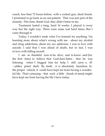couch, less than 72 hours before, with a cocked gun, dead drunk. I promised to go back as an out-patient. That was just part of the insanity. This time, thank God, they didn't listen to me.

Treatment lasted a long, hard 16 weeks. I played it every way but the right way. There were some real hard times. But I came through it.

Today, I wouldn't trade what I've learned for anything. I'm learning more about what's wrong with me - about my alcohol and drug addictions, about my sex addiction. I was in love with suicide. I said that I was afraid of death, but in fact, I was in love with killing myself.

I am so thankful now to be alive, and to know and (for the first time) to believe that God does listen - that he was listening when I begged him for help. I still carry a . 45 - caliber pistol shell. By itself, it is absolutely harmless. In the proper vehicle, it could have kept me from having a wonderful life. That's amazing – that such a little chunk of metal might have kept me from having the life I have today.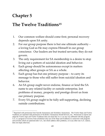## **Chapter 5**

## **The Twelve Traditions<sup>15</sup>**

- 1. Our common welfare should come first; personal recovery depends upon SA unity.
- 2. For our group purpose there is but one ultimate authority a loving God as He may express Himself in our group conscience. Our leaders are but trusted servants; they do not govern.
- 3. The only requirement for SA membership is a desire to stop living out a pattern of suicidal ideation and behavior.
- 4. Each group should be autonomous except in matters affecting other groups or SA as a whole.
- 5. Each group has but one primary purpose to carry its message to those who still suffer from suicidal ideation and behavior.
- 6. An SA group ought never endorse, finance or lend the SA name to any related facility or outside enterprise, lest problems of money, property and prestige divert us from our primary purpose.
- 7. Every SA group ought to be fully self-supporting, declining outside contributions.

 $\overline{a}$ <sup>15</sup> Reprinted with permission from Suicide Anonymous and Alcoholics Anonymous. The Twelve Steps and Twelve Traditions are reprinted with permission of Alcoholics Anonymous World Services, Inc. Permission to reprint and adapt the Twelve steps and Twelve Traditions does not mean that A.A. is in any way affiliated with this program. A.A. is a program of recovery from alcoholism only-use of the Steps and Traditions in connection with programs and activities which are patterned after A.A., but which address other problems, or in any other non-A.A. context, does not imply otherwise.